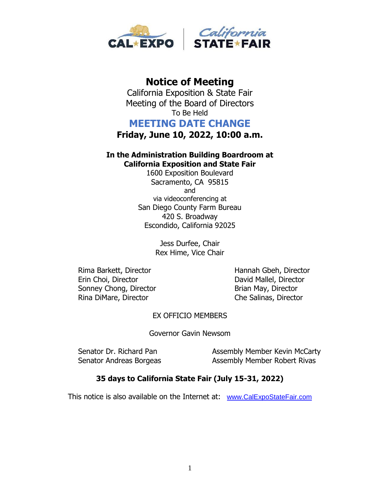

# **Notice of Meeting**

California Exposition & State Fair Meeting of the Board of Directors To Be Held

# **MEETING DATE CHANGE**

**Friday, June 10, 2022, 10:00 a.m.**

# **In the Administration Building Boardroom at California Exposition and State Fair**

1600 Exposition Boulevard Sacramento, CA 95815 and via videoconferencing at San Diego County Farm Bureau 420 S. Broadway Escondido, California 92025

> Jess Durfee, Chair Rex Hime, Vice Chair

Rima Barkett, Director **Hannah Gbeh, Director** Erin Choi, Director **David Mallel**, Director Sonney Chong, Director **Brian May, Director** Rina DiMare, Director Che Salinas, Director

## EX OFFICIO MEMBERS

Governor Gavin Newsom

Senator Dr. Richard Pan Assembly Member Kevin McCarty Senator Andreas Borgeas Assembly Member Robert Rivas

## **35 days to California State Fair (July 15-31, 2022)**

This notice is also available on the Internet at: [www.CalExpoStateFair.com](http://www.calexpostatefair.com/)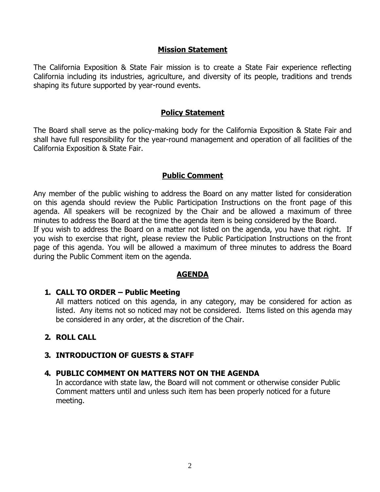#### **Mission Statement**

The California Exposition & State Fair mission is to create a State Fair experience reflecting California including its industries, agriculture, and diversity of its people, traditions and trends shaping its future supported by year-round events.

#### **Policy Statement**

The Board shall serve as the policy-making body for the California Exposition & State Fair and shall have full responsibility for the year-round management and operation of all facilities of the California Exposition & State Fair.

#### **Public Comment**

Any member of the public wishing to address the Board on any matter listed for consideration on this agenda should review the Public Participation Instructions on the front page of this agenda. All speakers will be recognized by the Chair and be allowed a maximum of three minutes to address the Board at the time the agenda item is being considered by the Board. If you wish to address the Board on a matter not listed on the agenda, you have that right. If

you wish to exercise that right, please review the Public Participation Instructions on the front page of this agenda. You will be allowed a maximum of three minutes to address the Board during the Public Comment item on the agenda.

#### **AGENDA**

#### **1. CALL TO ORDER – Public Meeting**

All matters noticed on this agenda, in any category, may be considered for action as listed. Any items not so noticed may not be considered. Items listed on this agenda may be considered in any order, at the discretion of the Chair.

## **2. ROLL CALL**

#### **3. INTRODUCTION OF GUESTS & STAFF**

## **4. PUBLIC COMMENT ON MATTERS NOT ON THE AGENDA**

In accordance with state law, the Board will not comment or otherwise consider Public Comment matters until and unless such item has been properly noticed for a future meeting.